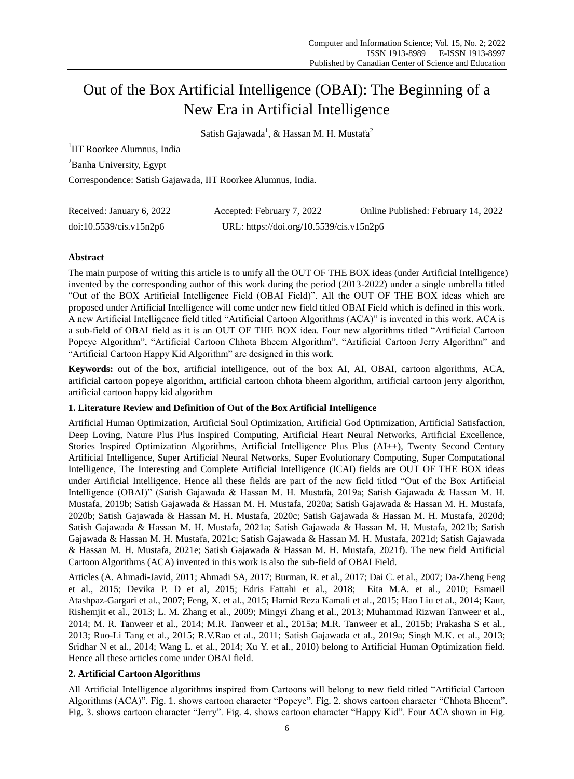# Out of the Box Artificial Intelligence (OBAI): The Beginning of a New Era in Artificial Intelligence

Satish Gajawada<sup>1</sup>, & Hassan M. H. Mustafa<sup>2</sup>

<sup>1</sup>IIT Roorkee Alumnus, India

<sup>2</sup>Banha University, Egypt

Correspondence: Satish Gajawada, IIT Roorkee Alumnus, India.

| Received: January 6, 2022 | Accepted: February 7, 2022               | Online Published: February 14, 2022 |
|---------------------------|------------------------------------------|-------------------------------------|
| doi:10.5539/cis.v15n2p6   | URL: https://doi.org/10.5539/cis.v15n2p6 |                                     |

# **Abstract**

The main purpose of writing this article is to unify all the OUT OF THE BOX ideas (under Artificial Intelligence) invented by the corresponding author of this work during the period (2013-2022) under a single umbrella titled "Out of the BOX Artificial Intelligence Field (OBAI Field)". All the OUT OF THE BOX ideas which are proposed under Artificial Intelligence will come under new field titled OBAI Field which is defined in this work. A new Artificial Intelligence field titled "Artificial Cartoon Algorithms (ACA)" is invented in this work. ACA is a sub-field of OBAI field as it is an OUT OF THE BOX idea. Four new algorithms titled "Artificial Cartoon Popeye Algorithm", "Artificial Cartoon Chhota Bheem Algorithm", "Artificial Cartoon Jerry Algorithm" and "Artificial Cartoon Happy Kid Algorithm" are designed in this work.

**Keywords:** out of the box, artificial intelligence, out of the box AI, AI, OBAI, cartoon algorithms, ACA, artificial cartoon popeye algorithm, artificial cartoon chhota bheem algorithm, artificial cartoon jerry algorithm, artificial cartoon happy kid algorithm

# **1. Literature Review and Definition of Out of the Box Artificial Intelligence**

Artificial Human Optimization, Artificial Soul Optimization, Artificial God Optimization, Artificial Satisfaction, Deep Loving, Nature Plus Plus Inspired Computing, Artificial Heart Neural Networks, Artificial Excellence, Stories Inspired Optimization Algorithms, Artificial Intelligence Plus Plus (AI++), Twenty Second Century Artificial Intelligence, Super Artificial Neural Networks, Super Evolutionary Computing, Super Computational Intelligence, The Interesting and Complete Artificial Intelligence (ICAI) fields are OUT OF THE BOX ideas under Artificial Intelligence. Hence all these fields are part of the new field titled "Out of the Box Artificial Intelligence (OBAI)" (Satish Gajawada & Hassan M. H. Mustafa, 2019a; Satish Gajawada & Hassan M. H. Mustafa, 2019b; Satish Gajawada & Hassan M. H. Mustafa, 2020a; Satish Gajawada & Hassan M. H. Mustafa, 2020b; Satish Gajawada & Hassan M. H. Mustafa, 2020c; Satish Gajawada & Hassan M. H. Mustafa, 2020d; Satish Gajawada & Hassan M. H. Mustafa, 2021a; Satish Gajawada & Hassan M. H. Mustafa, 2021b; Satish Gajawada & Hassan M. H. Mustafa, 2021c; Satish Gajawada & Hassan M. H. Mustafa, 2021d; Satish Gajawada & Hassan M. H. Mustafa, 2021e; Satish Gajawada & Hassan M. H. Mustafa, 2021f). The new field Artificial Cartoon Algorithms (ACA) invented in this work is also the sub-field of OBAI Field.

Articles (A. Ahmadi-Javid, 2011; Ahmadi SA, 2017; Burman, R. et al., 2017; Dai C. et al., 2007; Da-Zheng Feng et al., 2015; Devika P. D et al, 2015; Edris Fattahi et al., 2018; Eita M.A. et al., 2010; Esmaeil Atashpaz-Gargari et al., 2007; Feng, X. et al., 2015; Hamid Reza Kamali et al., 2015; Hao Liu et al., 2014; Kaur, Rishemjit et al., 2013; L. M. Zhang et al., 2009; Mingyi Zhang et al., 2013; Muhammad Rizwan Tanweer et al., 2014; M. R. Tanweer et al., 2014; M.R. Tanweer et al., 2015a; M.R. Tanweer et al., 2015b; Prakasha S et al., 2013; Ruo-Li Tang et al., 2015; R.V.Rao et al., 2011; Satish Gajawada et al., 2019a; Singh M.K. et al., 2013; Sridhar N et al., 2014; Wang L. et al., 2014; Xu Y. et al., 2010) belong to Artificial Human Optimization field. Hence all these articles come under OBAI field.

# **2. Artificial Cartoon Algorithms**

All Artificial Intelligence algorithms inspired from Cartoons will belong to new field titled "Artificial Cartoon Algorithms (ACA)". Fig. 1. shows cartoon character "Popeye". Fig. 2. shows cartoon character "Chhota Bheem". Fig. 3. shows cartoon character "Jerry". Fig. 4. shows cartoon character "Happy Kid". Four ACA shown in Fig.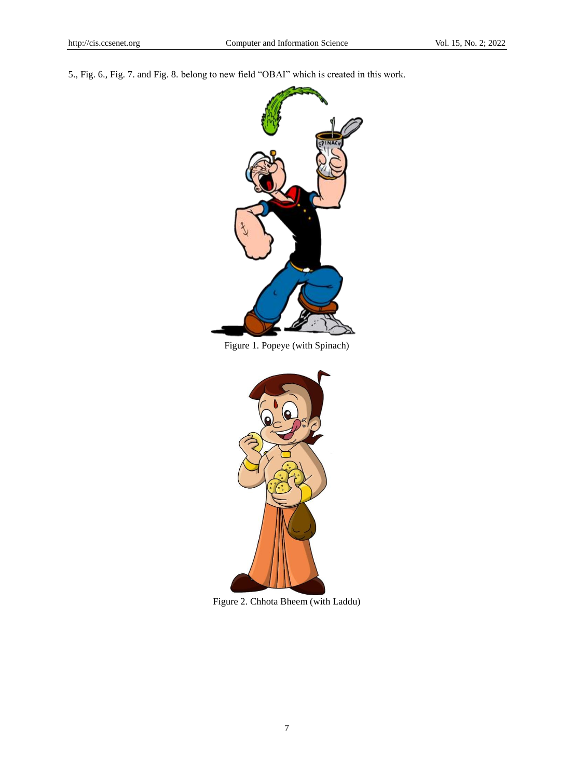5., Fig. 6., Fig. 7. and Fig. 8. belong to new field "OBAI" which is created in this work.



Figure 1. Popeye (with Spinach)



Figure 2. Chhota Bheem (with Laddu)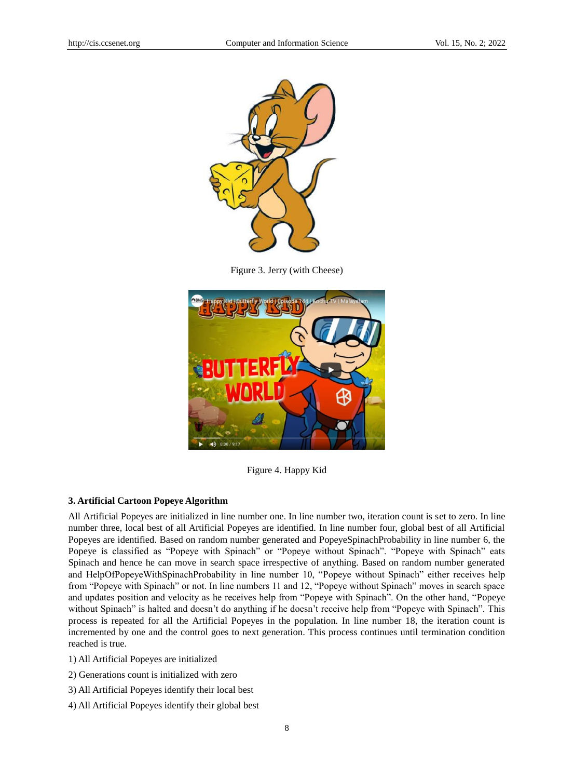

Figure 3. Jerry (with Cheese)



Figure 4. Happy Kid

## **3. Artificial Cartoon Popeye Algorithm**

All Artificial Popeyes are initialized in line number one. In line number two, iteration count is set to zero. In line number three, local best of all Artificial Popeyes are identified. In line number four, global best of all Artificial Popeyes are identified. Based on random number generated and PopeyeSpinachProbability in line number 6, the Popeye is classified as "Popeye with Spinach" or "Popeye without Spinach". "Popeye with Spinach" eats Spinach and hence he can move in search space irrespective of anything. Based on random number generated and HelpOfPopeyeWithSpinachProbability in line number 10, "Popeye without Spinach" either receives help from "Popeye with Spinach" or not. In line numbers 11 and 12, "Popeye without Spinach" moves in search space and updates position and velocity as he receives help from "Popeye with Spinach". On the other hand, "Popeye without Spinach" is halted and doesn't do anything if he doesn't receive help from "Popeye with Spinach". This process is repeated for all the Artificial Popeyes in the population. In line number 18, the iteration count is incremented by one and the control goes to next generation. This process continues until termination condition reached is true.

1) All Artificial Popeyes are initialized

2) Generations count is initialized with zero

- 3) All Artificial Popeyes identify their local best
- 4) All Artificial Popeyes identify their global best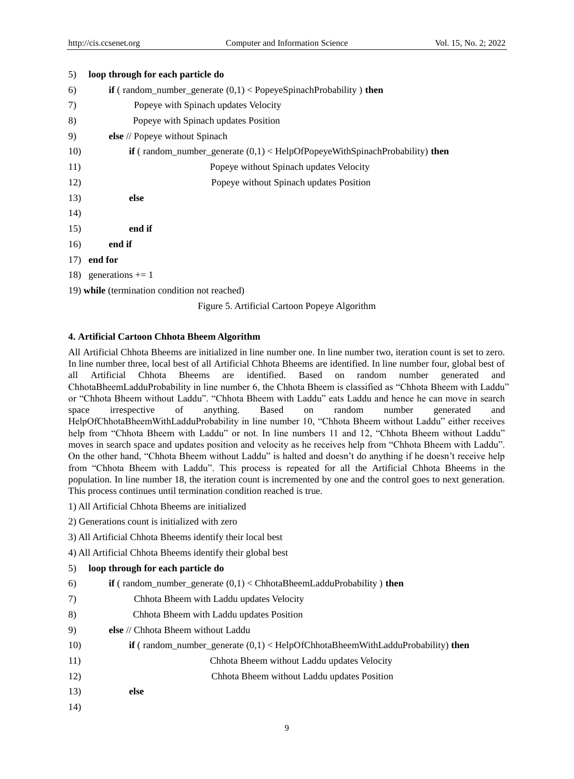| 5)  | loop through for each particle do                                                    |
|-----|--------------------------------------------------------------------------------------|
| 6)  | if (random_number_generate $(0,1) <$ PopeyeSpinachProbability) then                  |
| 7)  | Popeye with Spinach updates Velocity                                                 |
| 8)  | Popeye with Spinach updates Position                                                 |
| 9)  | else // Popeye without Spinach                                                       |
| 10) | <b>if</b> (random_number_generate $(0,1)$ < HelpOfPopeyeWithSpinachProbability) then |
| 11) | Popeye without Spinach updates Velocity                                              |
| 12) | Popeye without Spinach updates Position                                              |
| 13) | else                                                                                 |
| 14) |                                                                                      |
| 15) | end if                                                                               |
| 16) | end if                                                                               |
|     | $17)$ end for                                                                        |
|     | 18) generations $+= 1$                                                               |
|     | 19) while (termination condition not reached)                                        |
|     |                                                                                      |

Figure 5. Artificial Cartoon Popeye Algorithm

## **4. Artificial Cartoon Chhota Bheem Algorithm**

All Artificial Chhota Bheems are initialized in line number one. In line number two, iteration count is set to zero. In line number three, local best of all Artificial Chhota Bheems are identified. In line number four, global best of all Artificial Chhota Bheems are identified. Based on random number generated and ChhotaBheemLadduProbability in line number 6, the Chhota Bheem is classified as "Chhota Bheem with Laddu" or "Chhota Bheem without Laddu". "Chhota Bheem with Laddu" eats Laddu and hence he can move in search space irrespective of anything. Based on random number generated and HelpOfChhotaBheemWithLadduProbability in line number 10, "Chhota Bheem without Laddu" either receives help from "Chhota Bheem with Laddu" or not. In line numbers 11 and 12, "Chhota Bheem without Laddu" moves in search space and updates position and velocity as he receives help from "Chhota Bheem with Laddu". On the other hand, "Chhota Bheem without Laddu" is halted and doesn't do anything if he doesn't receive help from "Chhota Bheem with Laddu". This process is repeated for all the Artificial Chhota Bheems in the population. In line number 18, the iteration count is incremented by one and the control goes to next generation. This process continues until termination condition reached is true.

- 1) All Artificial Chhota Bheems are initialized
- 2) Generations count is initialized with zero
- 3) All Artificial Chhota Bheems identify their local best
- 4) All Artificial Chhota Bheems identify their global best

| 5) |  |  |  | loop through for each particle do |
|----|--|--|--|-----------------------------------|
|----|--|--|--|-----------------------------------|

- 6) **if** ( random number generate  $(0,1) <$  ChhotaBheemLadduProbability ) **then**
- 7) Chhota Bheem with Laddu updates Velocity
- 8)Chhota Bheem with Laddu updates Position
- 9) **else** // Chhota Bheem without Laddu
- 10) **if** ( random\_number\_generate (0,1) < HelpOfChhotaBheemWithLadduProbability) **then**
- 11)Chhota Bheem without Laddu updates Velocity
- 12) Chhota Bheem without Laddu updates Position
- 13) **else**
- 14)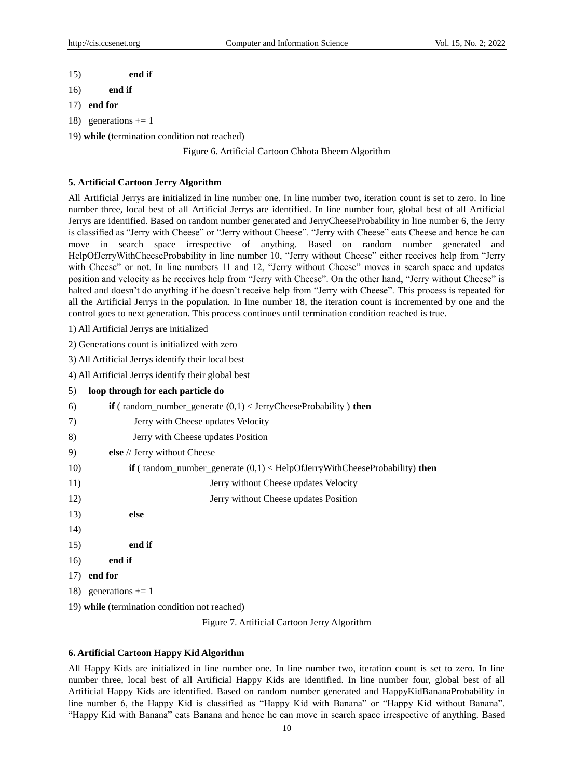- 15) **end if**
- 16) **end if**
- 17) **end for**
- 18) generations  $+= 1$
- 19) **while** (termination condition not reached)

Figure 6. Artificial Cartoon Chhota Bheem Algorithm

#### **5. Artificial Cartoon Jerry Algorithm**

All Artificial Jerrys are initialized in line number one. In line number two, iteration count is set to zero. In line number three, local best of all Artificial Jerrys are identified. In line number four, global best of all Artificial Jerrys are identified. Based on random number generated and JerryCheeseProbability in line number 6, the Jerry is classified as "Jerry with Cheese" or "Jerry without Cheese". "Jerry with Cheese" eats Cheese and hence he can move in search space irrespective of anything. Based on random number generated and HelpOfJerryWithCheeseProbability in line number 10, "Jerry without Cheese" either receives help from "Jerry with Cheese" or not. In line numbers 11 and 12, "Jerry without Cheese" moves in search space and updates position and velocity as he receives help from "Jerry with Cheese". On the other hand, "Jerry without Cheese" is halted and doesn't do anything if he doesn't receive help from "Jerry with Cheese". This process is repeated for all the Artificial Jerrys in the population. In line number 18, the iteration count is incremented by one and the control goes to next generation. This process continues until termination condition reached is true.

1) All Artificial Jerrys are initialized

2) Generations count is initialized with zero

3) All Artificial Jerrys identify their local best

4) All Artificial Jerrys identify their global best

5) **loop through for each particle do** 6) **if** ( random\_number\_generate (0,1) < JerryCheeseProbability ) **then** 7) Jerry with Cheese updates Velocity 8)Jerry with Cheese updates Position 9) **else** // Jerry without Cheese 10) **if** ( random\_number\_generate (0,1) < HelpOfJerryWithCheeseProbability) **then**  11)Jerry without Cheese updates Velocity 12) Jerry without Cheese updates Position 13) **else**  14) 15) **end if** 16) **end if** 17) **end for** 18) generations  $+= 1$ 19) **while** (termination condition not reached)

Figure 7. Artificial Cartoon Jerry Algorithm

#### **6. Artificial Cartoon Happy Kid Algorithm**

All Happy Kids are initialized in line number one. In line number two, iteration count is set to zero. In line number three, local best of all Artificial Happy Kids are identified. In line number four, global best of all Artificial Happy Kids are identified. Based on random number generated and HappyKidBananaProbability in line number 6, the Happy Kid is classified as "Happy Kid with Banana" or "Happy Kid without Banana". "Happy Kid with Banana" eats Banana and hence he can move in search space irrespective of anything. Based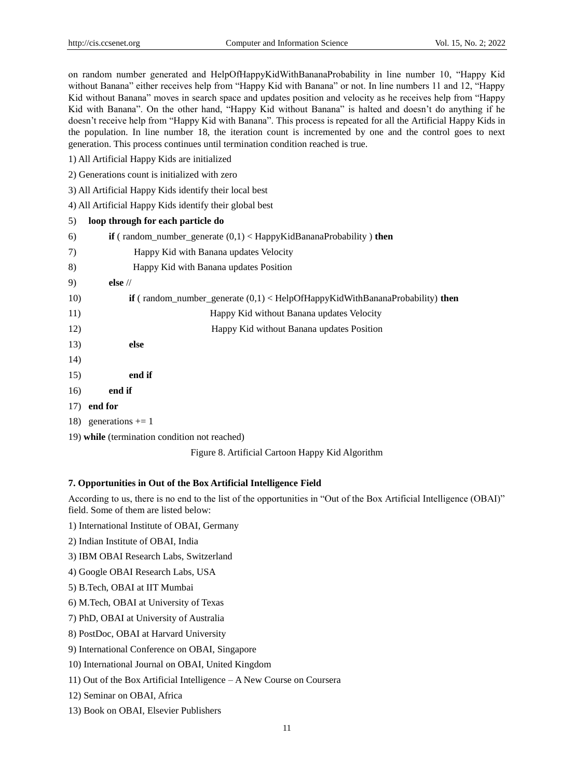on random number generated and HelpOfHappyKidWithBananaProbability in line number 10, "Happy Kid without Banana" either receives help from "Happy Kid with Banana" or not. In line numbers 11 and 12, "Happy Kid without Banana" moves in search space and updates position and velocity as he receives help from "Happy Kid with Banana". On the other hand, "Happy Kid without Banana" is halted and doesn't do anything if he doesn't receive help from "Happy Kid with Banana". This process is repeated for all the Artificial Happy Kids in the population. In line number 18, the iteration count is incremented by one and the control goes to next generation. This process continues until termination condition reached is true.

- 1) All Artificial Happy Kids are initialized
- 2) Generations count is initialized with zero
- 3) All Artificial Happy Kids identify their local best
- 4) All Artificial Happy Kids identify their global best

| 5) | loop through for each particle do |  |  |
|----|-----------------------------------|--|--|
|    |                                   |  |  |

| 6)  | <b>if</b> (random_number_generate $(0,1)$ < HappyKidBananaProbability ) then          |
|-----|---------------------------------------------------------------------------------------|
| 7)  | Happy Kid with Banana updates Velocity                                                |
| 8)  | Happy Kid with Banana updates Position                                                |
| 9)  | else $\frac{1}{2}$                                                                    |
| 10) | <b>if</b> (random_number_generate $(0,1)$ < HelpOfHappyKidWithBananaProbability) then |
| 11) | Happy Kid without Banana updates Velocity                                             |
| 12) | Happy Kid without Banana updates Position                                             |
| 13) | else                                                                                  |
| 14) |                                                                                       |
| 15) | end if                                                                                |
| 16) | end if                                                                                |
|     | $17)$ end for                                                                         |
|     | 18) generations $+= 1$                                                                |
|     | 19) while (termination condition not reached)                                         |

Figure 8. Artificial Cartoon Happy Kid Algorithm

### **7. Opportunities in Out of the Box Artificial Intelligence Field**

According to us, there is no end to the list of the opportunities in "Out of the Box Artificial Intelligence (OBAI)" field. Some of them are listed below:

- 1) International Institute of OBAI, Germany
- 2) Indian Institute of OBAI, India
- 3) IBM OBAI Research Labs, Switzerland
- 4) Google OBAI Research Labs, USA
- 5) B.Tech, OBAI at IIT Mumbai
- 6) M.Tech, OBAI at University of Texas
- 7) PhD, OBAI at University of Australia
- 8) PostDoc, OBAI at Harvard University
- 9) International Conference on OBAI, Singapore
- 10) International Journal on OBAI, United Kingdom
- 11) Out of the Box Artificial Intelligence A New Course on Coursera
- 12) Seminar on OBAI, Africa
- 13) Book on OBAI, Elsevier Publishers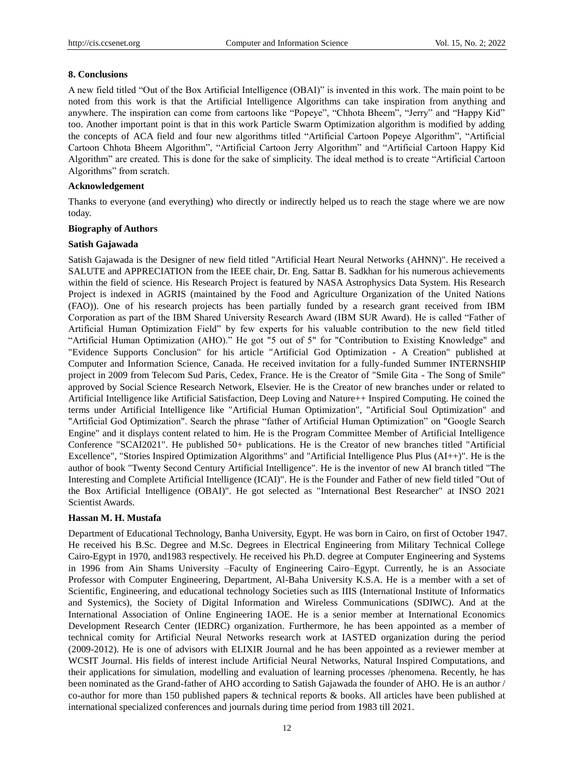#### **8. Conclusions**

A new field titled "Out of the Box Artificial Intelligence (OBAI)" is invented in this work. The main point to be noted from this work is that the Artificial Intelligence Algorithms can take inspiration from anything and anywhere. The inspiration can come from cartoons like "Popeye", "Chhota Bheem", "Jerry" and "Happy Kid" too. Another important point is that in this work Particle Swarm Optimization algorithm is modified by adding the concepts of ACA field and four new algorithms titled "Artificial Cartoon Popeye Algorithm", "Artificial Cartoon Chhota Bheem Algorithm", "Artificial Cartoon Jerry Algorithm" and "Artificial Cartoon Happy Kid Algorithm" are created. This is done for the sake of simplicity. The ideal method is to create "Artificial Cartoon Algorithms" from scratch.

## **Acknowledgement**

Thanks to everyone (and everything) who directly or indirectly helped us to reach the stage where we are now today.

#### **Biography of Authors**

### **Satish Gajawada**

Satish Gajawada is the Designer of new field titled "Artificial Heart Neural Networks (AHNN)". He received a SALUTE and APPRECIATION from the IEEE chair, Dr. Eng. Sattar B. Sadkhan for his numerous achievements within the field of science. His Research Project is featured by NASA Astrophysics Data System. His Research Project is indexed in AGRIS (maintained by the Food and Agriculture Organization of the United Nations (FAO)). One of his research projects has been partially funded by a research grant received from IBM Corporation as part of the IBM Shared University Research Award (IBM SUR Award). He is called "Father of Artificial Human Optimization Field" by few experts for his valuable contribution to the new field titled "Artificial Human Optimization (AHO)." He got "5 out of 5" for "Contribution to Existing Knowledge" and "Evidence Supports Conclusion" for his article "Artificial God Optimization - A Creation" published at Computer and Information Science, Canada. He received invitation for a fully-funded Summer INTERNSHIP project in 2009 from Telecom Sud Paris, Cedex, France. He is the Creator of "Smile Gita - The Song of Smile" approved by Social Science Research Network, Elsevier. He is the Creator of new branches under or related to Artificial Intelligence like Artificial Satisfaction, Deep Loving and Nature++ Inspired Computing. He coined the terms under Artificial Intelligence like "Artificial Human Optimization", "Artificial Soul Optimization" and "Artificial God Optimization". Search the phrase "father of Artificial Human Optimization" on "Google Search Engine" and it displays content related to him. He is the Program Committee Member of Artificial Intelligence Conference "SCAI2021". He published 50+ publications. He is the Creator of new branches titled "Artificial Excellence", "Stories Inspired Optimization Algorithms" and "Artificial Intelligence Plus Plus (AI++)". He is the author of book "Twenty Second Century Artificial Intelligence". He is the inventor of new AI branch titled "The Interesting and Complete Artificial Intelligence (ICAI)". He is the Founder and Father of new field titled "Out of the Box Artificial Intelligence (OBAI)". He got selected as "International Best Researcher" at INSO 2021 Scientist Awards.

#### **Hassan M. H. Mustafa**

Department of Educational Technology, Banha University, Egypt. He was born in Cairo, on first of October 1947. He received his B.Sc. Degree and M.Sc. Degrees in Electrical Engineering from Military Technical College Cairo-Egypt in 1970, and1983 respectively. He received his Ph.D. degree at Computer Engineering and Systems in 1996 from Ain Shams University –Faculty of Engineering Cairo–Egypt. Currently, he is an Associate Professor with Computer Engineering, Department, Al-Baha University K.S.A. He is a member with a set of Scientific, Engineering, and educational technology Societies such as IIIS (International Institute of Informatics and Systemics), the Society of Digital Information and Wireless Communications (SDIWC). And at the International Association of Online Engineering IAOE. He is a senior member at International Economics Development Research Center (IEDRC) organization. Furthermore, he has been appointed as a member of technical comity for Artificial Neural Networks research work at IASTED organization during the period (2009-2012). He is one of advisors with ELIXIR Journal and he has been appointed as a reviewer member at WCSIT Journal. His fields of interest include Artificial Neural Networks, Natural Inspired Computations, and their applications for simulation, modelling and evaluation of learning processes /phenomena. Recently, he has been nominated as the Grand-father of AHO according to Satish Gajawada the founder of AHO. He is an author / co-author for more than 150 published papers & technical reports & books. All articles have been published at international specialized conferences and journals during time period from 1983 till 2021.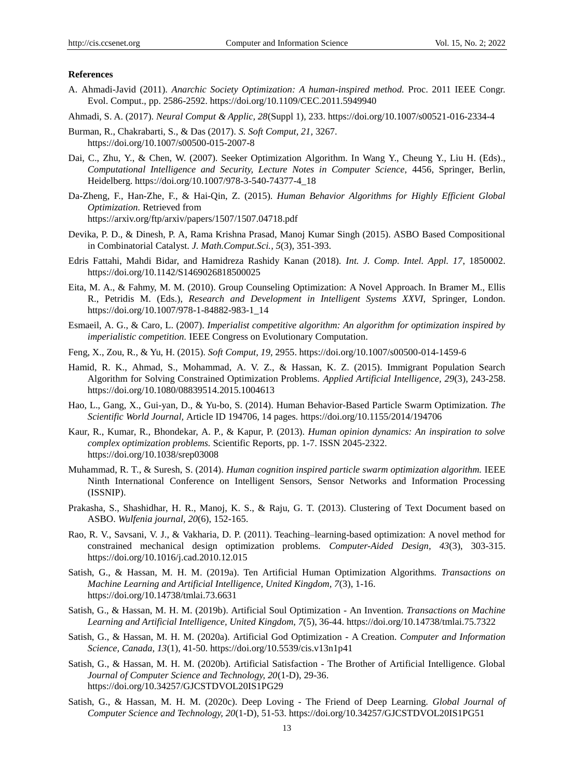#### **References**

- A. Ahmadi-Javid (2011). *Anarchic Society Optimization: A human-inspired method.* Proc. 2011 IEEE Congr. Evol. Comput., pp. 2586-2592. https://doi.org/10.1109/CEC.2011.5949940
- Ahmadi, S. A. (2017). *Neural Comput & Applic, 28*(Suppl 1), 233. https://doi.org/10.1007/s00521-016-2334-4
- Burman, R., Chakrabarti, S., & Das (2017). *S. Soft Comput, 21,* 3267. https://doi.org/10.1007/s00500-015-2007-8
- Dai, C., Zhu, Y., & Chen, W. (2007). Seeker Optimization Algorithm. In Wang Y., Cheung Y., Liu H. (Eds)., *Computational Intelligence and Security, Lecture Notes in Computer Science,* 4456, Springer, Berlin, Heidelberg. https://doi.org/10.1007/978-3-540-74377-4\_18
- Da-Zheng, F., Han-Zhe, F., & Hai-Qin, Z. (2015). *Human Behavior Algorithms for Highly Efficient Global Optimization.* Retrieved from https://arxiv.org/ftp/arxiv/papers/1507/1507.04718.pdf
- Devika, P. D., & Dinesh, P. A, Rama Krishna Prasad, Manoj Kumar Singh (2015). ASBO Based Compositional in Combinatorial Catalyst. *J. Math.Comput.Sci., 5*(3), 351-393.
- Edris Fattahi, Mahdi Bidar, and Hamidreza Rashidy Kanan (2018). *Int. J. Comp. Intel. Appl. 17*, 1850002. https://doi.org/10.1142/S1469026818500025
- Eita, M. A., & Fahmy, M. M. (2010). Group Counseling Optimization: A Novel Approach. In Bramer M., Ellis R., Petridis M. (Eds.), *Research and Development in Intelligent Systems XXVI,* Springer, London. https://doi.org/10.1007/978-1-84882-983-1\_14
- Esmaeil, A. G., & Caro, L. (2007). *Imperialist competitive algorithm: An algorithm for optimization inspired by imperialistic competition.* IEEE Congress on Evolutionary Computation.
- Feng, X., Zou, R., & Yu, H. (2015). *Soft Comput, 19,* 2955. https://doi.org/10.1007/s00500-014-1459-6
- Hamid, R. K., Ahmad, S., Mohammad, A. V. Z., & Hassan, K. Z. (2015). Immigrant Population Search Algorithm for Solving Constrained Optimization Problems. *Applied Artificial Intelligence, 29*(3), 243-258. https://doi.org/10.1080/08839514.2015.1004613
- Hao, L., Gang, X., Gui-yan, D., & Yu-bo, S. (2014). Human Behavior-Based Particle Swarm Optimization. *The Scientific World Journal,* Article ID 194706, 14 pages. https://doi.org/10.1155/2014/194706
- Kaur, R., Kumar, R., Bhondekar, A. P., & Kapur, P. (2013). *Human opinion dynamics: An inspiration to solve complex optimization problems.* Scientific Reports, pp. 1-7. ISSN 2045-2322. https://doi.org/10.1038/srep03008
- Muhammad, R. T., & Suresh, S. (2014). *Human cognition inspired particle swarm optimization algorithm.* IEEE Ninth International Conference on Intelligent Sensors, Sensor Networks and Information Processing (ISSNIP).
- Prakasha, S., Shashidhar, H. R., Manoj, K. S., & Raju, G. T. (2013). Clustering of Text Document based on ASBO. *Wulfenia journal, 20*(6), 152-165.
- Rao, R. V., Savsani, V. J., & Vakharia, D. P. (2011). Teaching–learning-based optimization: A novel method for constrained mechanical design optimization problems. *Computer-Aided Design, 43*(3), 303-315. https://doi.org/10.1016/j.cad.2010.12.015
- Satish, G., & Hassan, M. H. M. (2019a). Ten Artificial Human Optimization Algorithms. *Transactions on Machine Learning and Artificial Intelligence, United Kingdom, 7*(3), 1-16. https://doi.org/10.14738/tmlai.73.6631
- Satish, G., & Hassan, M. H. M. (2019b). Artificial Soul Optimization An Invention. *Transactions on Machine Learning and Artificial Intelligence, United Kingdom, 7*(5), 36-44. https://doi.org/10.14738/tmlai.75.7322
- Satish, G., & Hassan, M. H. M. (2020a). Artificial God Optimization A Creation. *Computer and Information Science, Canada, 13*(1), 41-50. https://doi.org/10.5539/cis.v13n1p41
- Satish, G., & Hassan, M. H. M. (2020b). Artificial Satisfaction The Brother of Artificial Intelligence. Global *Journal of Computer Science and Technology, 20*(1-D), 29-36. https://doi.org/10.34257/GJCSTDVOL20IS1PG29
- Satish, G., & Hassan, M. H. M. (2020c). Deep Loving The Friend of Deep Learning. *Global Journal of Computer Science and Technology, 20*(1-D), 51-53. https://doi.org/10.34257/GJCSTDVOL20IS1PG51